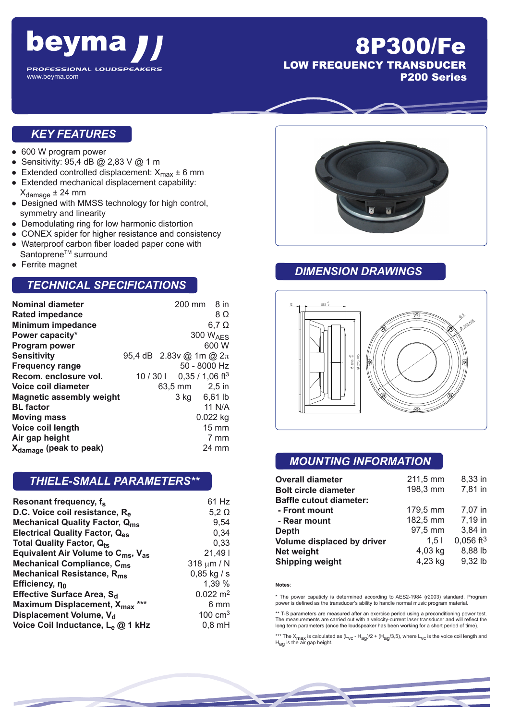

# 8P300/Fe LOW FREQUENCY TRANSDUCER P200 Series

#### *KEY FEATURES*

- 600 W program power
- Sensitivity: 95,4 dB @ 2,83 V @ 1 m
- Extended controlled displacement:  $X_{\text{max}} \pm 6$  mm<br>■ Extended mechanical displacement capability:
- Extended mechanical displacement capability:  $X_{\text{damage}} \pm 24$  mm
- Designed with MMSS technology for high control, symmetry and linearity
- Demodulating ring for low harmonic distortion
- CONEX spider for higher resistance and consistency
- Waterproof carbon fiber loaded paper cone with Santoprene<sup>™</sup> surround
- **Ferrite magnet**

#### *TECHNICAL SPECIFICATIONS*

| <b>Nominal diameter</b>            |        |                             | $200 \text{ mm}$ 8 in       |
|------------------------------------|--------|-----------------------------|-----------------------------|
| <b>Rated impedance</b>             |        |                             | 8Ω                          |
| <b>Minimum impedance</b>           |        |                             | $6,7$ $\Omega$              |
| Power capacity*                    |        |                             | 300 $W_{\text{AFS}}$        |
| Program power                      |        |                             | 600 W                       |
| <b>Sensitivity</b>                 |        | 95,4 dB 2.83v @ 1m @ $2\pi$ |                             |
| <b>Frequency range</b>             |        |                             | 50 - 8000 Hz                |
| Recom. enclosure vol.              | 10/301 |                             | $0,35/1,06$ ft <sup>3</sup> |
| Voice coil diameter                |        | 63,5 mm 2,5 in              |                             |
| <b>Magnetic assembly weight</b>    |        |                             | 3 kg 6,61 lb                |
| <b>BL</b> factor                   |        |                             | 11 N/A                      |
| <b>Moving mass</b>                 |        |                             | $0.022$ kg                  |
| Voice coil length                  |        |                             | $15 \text{ mm}$             |
| Air gap height                     |        |                             | 7 mm                        |
| X <sub>damage</sub> (peak to peak) |        |                             | 24 mm                       |

#### *THIELE-SMALL PARAMETERS\*\**

| Resonant frequency, f <sub>s</sub>                         | 61 Hz                 |
|------------------------------------------------------------|-----------------------|
| D.C. Voice coil resistance, R <sub>e</sub>                 | $5,2 \Omega$          |
| <b>Mechanical Quality Factor, Qms</b>                      | 9,54                  |
| <b>Electrical Quality Factor, Q<sub>es</sub></b>           | 0,34                  |
| <b>Total Quality Factor, Qts</b>                           | 0,33                  |
| Equivalent Air Volume to $C_{\text{ms}}$ , $V_{\text{as}}$ | 21,491                |
| Mechanical Compliance, C <sub>ms</sub>                     | 318 $\mu$ m / N       |
| Mechanical Resistance, R <sub>ms</sub>                     | $0,85$ kg / s         |
| Efficiency, no                                             | 1,39 %                |
| Effective Surface Area, S <sub>d</sub>                     | $0.022 \; \text{m}^2$ |
| Maximum Displacement, X <sub>max</sub><br>$***$            | 6 mm                  |
| Displacement Volume, V <sub>d</sub>                        | $100 \text{ cm}^3$    |
| Voice Coil Inductance, L <sub>e</sub> @ 1 kHz              | $0,8$ mH              |



#### *DIMENSION DRAWINGS*



### *MOUNTING INFORMATION*

| <b>Overall diameter</b>        | 211,5 mm         | 8,33 in        |
|--------------------------------|------------------|----------------|
| <b>Bolt circle diameter</b>    | 198,3 mm         | 7,81 in        |
| <b>Baffle cutout diameter:</b> |                  |                |
| - Front mount                  | 179,5 mm         | 7,07 in        |
| - Rear mount                   | 182,5 mm         | 7,19 in        |
| <b>Depth</b>                   | 97,5 mm          | 3,84 in        |
| Volume displaced by driver     | 1.5 <sub>1</sub> | $0,056$ ft $3$ |
| Net weight                     | 4,03 kg          | 8,88 lb        |
| <b>Shipping weight</b>         | 4,23 kg          | 9,32 lb        |

#### **Notes**:

\* The power capaticty is determined according to AES2-1984 (r2003) standard. Program power is defined as the transducer's ability to handle normal music program material.

\*\* T-S parameters are measured after an exercise period using a preconditioning power test. The measurements are carried out with a velocity-current laser transducer and will reflect the long term parameters (once the loudspeaker has been working for a short period of time).

\*\*\* The X<sub>max</sub> is calculated as (L<sub>VC</sub> - H<sub>ag</sub>)/2 + (H<sub>ag</sub>/3,5), where L<sub>VC</sub> is the voice coil length and<br>H<sub>ag</sub> is the air gap height.